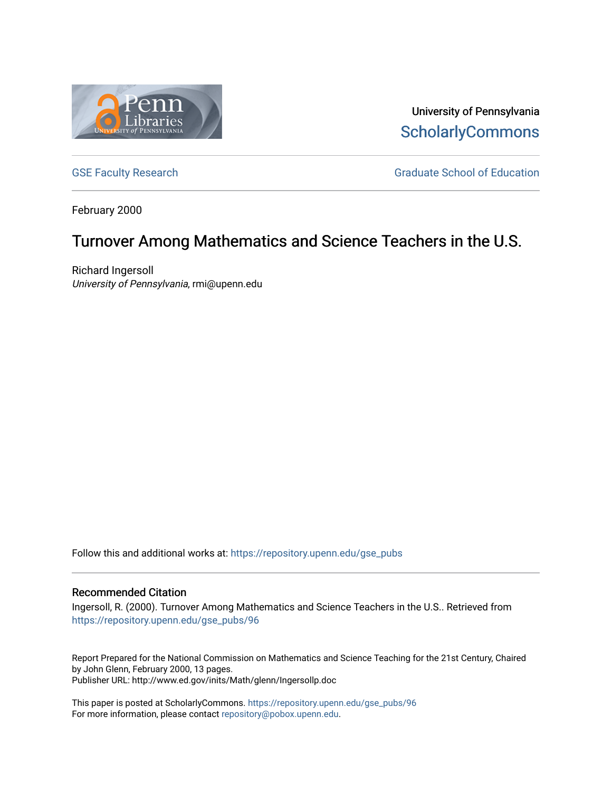

University of Pennsylvania **ScholarlyCommons** 

[GSE Faculty Research](https://repository.upenn.edu/gse_pubs) GSE Faculty Research Graduate School of Education

February 2000

## Turnover Among Mathematics and Science Teachers in the U.S.

Richard Ingersoll University of Pennsylvania, rmi@upenn.edu

Follow this and additional works at: [https://repository.upenn.edu/gse\\_pubs](https://repository.upenn.edu/gse_pubs?utm_source=repository.upenn.edu%2Fgse_pubs%2F96&utm_medium=PDF&utm_campaign=PDFCoverPages) 

#### Recommended Citation

Ingersoll, R. (2000). Turnover Among Mathematics and Science Teachers in the U.S.. Retrieved from [https://repository.upenn.edu/gse\\_pubs/96](https://repository.upenn.edu/gse_pubs/96?utm_source=repository.upenn.edu%2Fgse_pubs%2F96&utm_medium=PDF&utm_campaign=PDFCoverPages) 

Report Prepared for the National Commission on Mathematics and Science Teaching for the 21st Century, Chaired by John Glenn, February 2000, 13 pages. Publisher URL: http://www.ed.gov/inits/Math/glenn/Ingersollp.doc

This paper is posted at ScholarlyCommons. [https://repository.upenn.edu/gse\\_pubs/96](https://repository.upenn.edu/gse_pubs/96)  For more information, please contact [repository@pobox.upenn.edu.](mailto:repository@pobox.upenn.edu)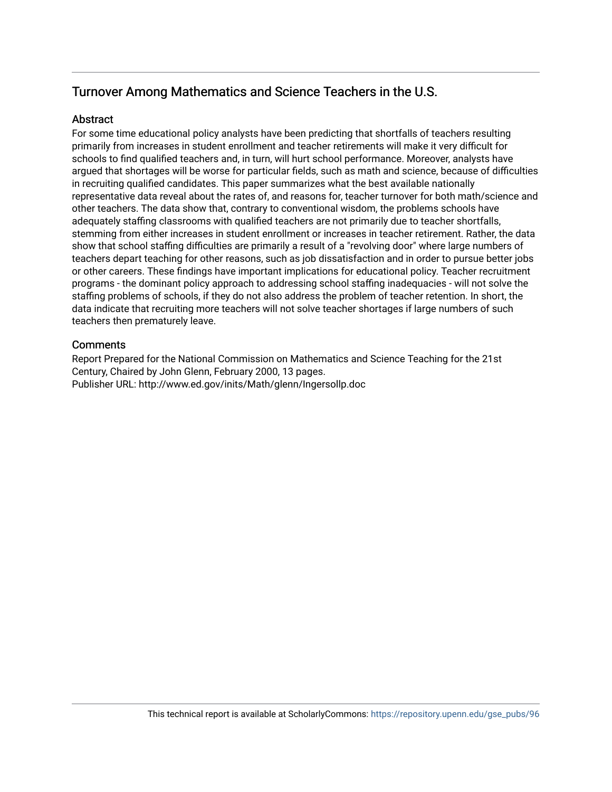### Turnover Among Mathematics and Science Teachers in the U.S.

#### **Abstract**

For some time educational policy analysts have been predicting that shortfalls of teachers resulting primarily from increases in student enrollment and teacher retirements will make it very difficult for schools to find qualified teachers and, in turn, will hurt school performance. Moreover, analysts have argued that shortages will be worse for particular fields, such as math and science, because of difficulties in recruiting qualified candidates. This paper summarizes what the best available nationally representative data reveal about the rates of, and reasons for, teacher turnover for both math/science and other teachers. The data show that, contrary to conventional wisdom, the problems schools have adequately staffing classrooms with qualified teachers are not primarily due to teacher shortfalls, stemming from either increases in student enrollment or increases in teacher retirement. Rather, the data show that school staffing difficulties are primarily a result of a "revolving door" where large numbers of teachers depart teaching for other reasons, such as job dissatisfaction and in order to pursue better jobs or other careers. These findings have important implications for educational policy. Teacher recruitment programs - the dominant policy approach to addressing school staffing inadequacies - will not solve the staffing problems of schools, if they do not also address the problem of teacher retention. In short, the data indicate that recruiting more teachers will not solve teacher shortages if large numbers of such teachers then prematurely leave.

#### **Comments**

Report Prepared for the National Commission on Mathematics and Science Teaching for the 21st Century, Chaired by John Glenn, February 2000, 13 pages. Publisher URL: http://www.ed.gov/inits/Math/glenn/Ingersollp.doc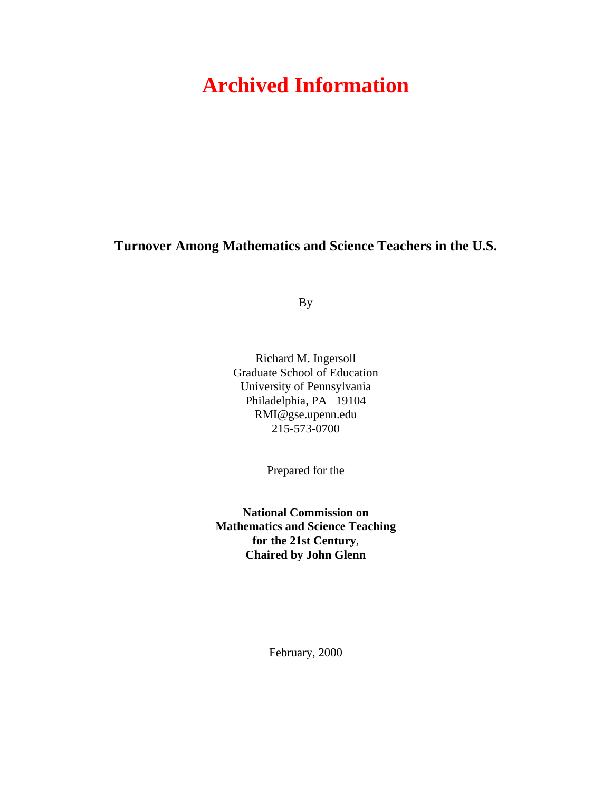# **Archived Information**

**Turnover Among Mathematics and Science Teachers in the U.S.** 

By

Richard M. Ingersoll Graduate School of Education University of Pennsylvania Philadelphia, PA 19104 RMI@gse.upenn.edu 215-573-0700

Prepared for the

**National Commission on Mathematics and Science Teaching for the 21st Century**, **Chaired by John Glenn**

February, 2000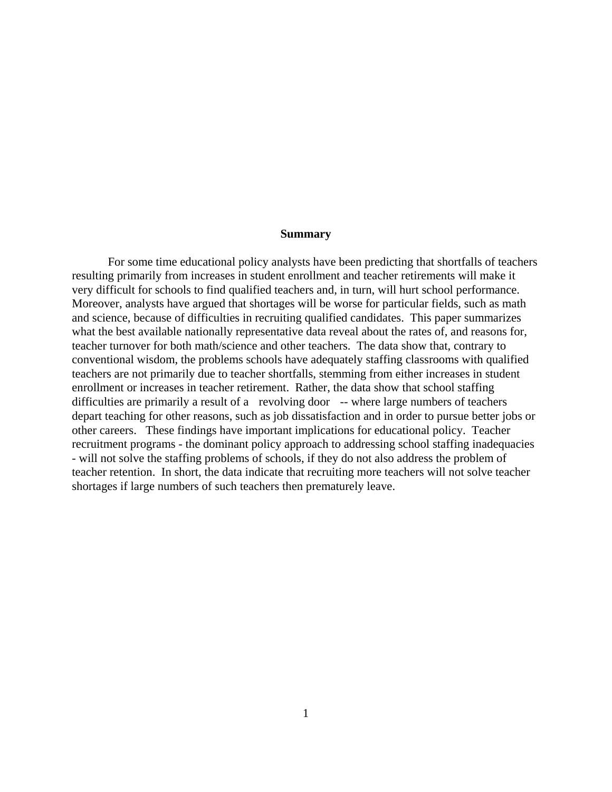#### **Summary**

For some time educational policy analysts have been predicting that shortfalls of teachers resulting primarily from increases in student enrollment and teacher retirements will make it very difficult for schools to find qualified teachers and, in turn, will hurt school performance. Moreover, analysts have argued that shortages will be worse for particular fields, such as math and science, because of difficulties in recruiting qualified candidates. This paper summarizes what the best available nationally representative data reveal about the rates of, and reasons for, teacher turnover for both math/science and other teachers. The data show that, contrary to conventional wisdom, the problems schools have adequately staffing classrooms with qualified teachers are not primarily due to teacher shortfalls, stemming from either increases in student enrollment or increases in teacher retirement. Rather, the data show that school staffing difficulties are primarily a result of a revolving door -- where large numbers of teachers depart teaching for other reasons, such as job dissatisfaction and in order to pursue better jobs or other careers. These findings have important implications for educational policy. Teacher recruitment programs - the dominant policy approach to addressing school staffing inadequacies - will not solve the staffing problems of schools, if they do not also address the problem of teacher retention. In short, the data indicate that recruiting more teachers will not solve teacher shortages if large numbers of such teachers then prematurely leave.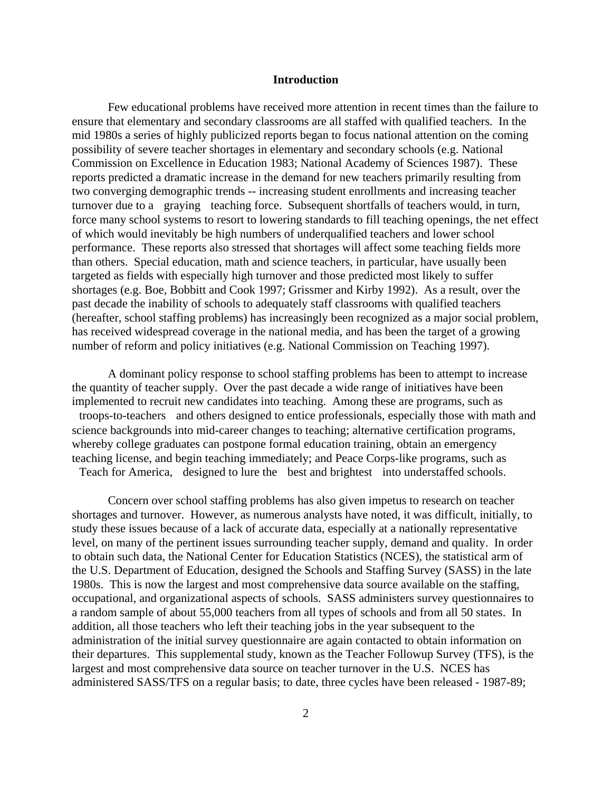#### **Introduction**

Few educational problems have received more attention in recent times than the failure to ensure that elementary and secondary classrooms are all staffed with qualified teachers. In the mid 1980s a series of highly publicized reports began to focus national attention on the coming possibility of severe teacher shortages in elementary and secondary schools (e.g. National Commission on Excellence in Education 1983; National Academy of Sciences 1987). These reports predicted a dramatic increase in the demand for new teachers primarily resulting from two converging demographic trends -- increasing student enrollments and increasing teacher turnover due to a graying teaching force. Subsequent shortfalls of teachers would, in turn, force many school systems to resort to lowering standards to fill teaching openings, the net effect of which would inevitably be high numbers of underqualified teachers and lower school performance. These reports also stressed that shortages will affect some teaching fields more than others. Special education, math and science teachers, in particular, have usually been targeted as fields with especially high turnover and those predicted most likely to suffer shortages (e.g. Boe, Bobbitt and Cook 1997; Grissmer and Kirby 1992). As a result, over the past decade the inability of schools to adequately staff classrooms with qualified teachers (hereafter, school staffing problems) has increasingly been recognized as a major social problem, has received widespread coverage in the national media, and has been the target of a growing number of reform and policy initiatives (e.g. National Commission on Teaching 1997).

A dominant policy response to school staffing problems has been to attempt to increase the quantity of teacher supply. Over the past decade a wide range of initiatives have been implemented to recruit new candidates into teaching. Among these are programs, such as troops-to-teachers and others designed to entice professionals, especially those with math and science backgrounds into mid-career changes to teaching; alternative certification programs, whereby college graduates can postpone formal education training, obtain an emergency teaching license, and begin teaching immediately; and Peace Corps-like programs, such as Teach for America, designed to lure the best and brightest into understaffed schools.

Concern over school staffing problems has also given impetus to research on teacher shortages and turnover. However, as numerous analysts have noted, it was difficult, initially, to study these issues because of a lack of accurate data, especially at a nationally representative level, on many of the pertinent issues surrounding teacher supply, demand and quality. In order to obtain such data, the National Center for Education Statistics (NCES), the statistical arm of the U.S. Department of Education, designed the Schools and Staffing Survey (SASS) in the late 1980s. This is now the largest and most comprehensive data source available on the staffing, occupational, and organizational aspects of schools. SASS administers survey questionnaires to a random sample of about 55,000 teachers from all types of schools and from all 50 states. In addition, all those teachers who left their teaching jobs in the year subsequent to the administration of the initial survey questionnaire are again contacted to obtain information on their departures. This supplemental study, known as the Teacher Followup Survey (TFS), is the largest and most comprehensive data source on teacher turnover in the U.S. NCES has administered SASS/TFS on a regular basis; to date, three cycles have been released - 1987-89;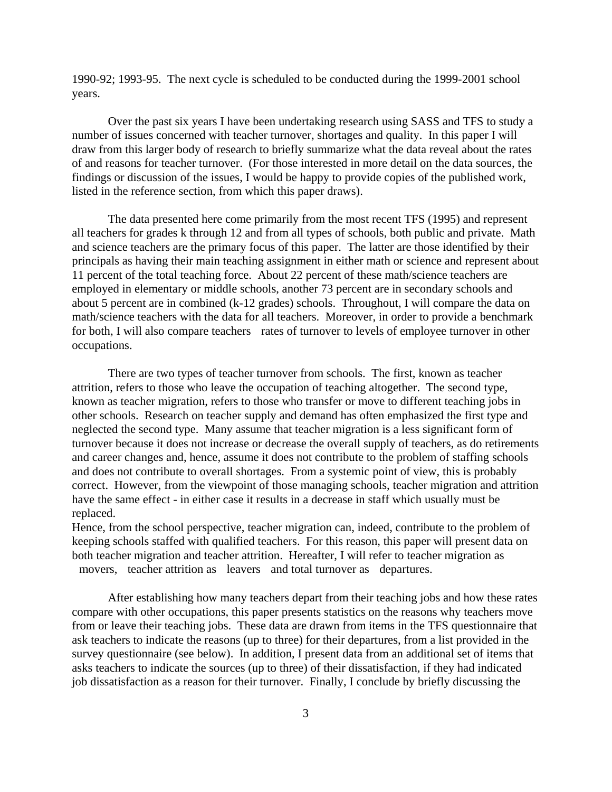1990-92; 1993-95. The next cycle is scheduled to be conducted during the 1999-2001 school years.

Over the past six years I have been undertaking research using SASS and TFS to study a number of issues concerned with teacher turnover, shortages and quality. In this paper I will draw from this larger body of research to briefly summarize what the data reveal about the rates of and reasons for teacher turnover. (For those interested in more detail on the data sources, the findings or discussion of the issues, I would be happy to provide copies of the published work, listed in the reference section, from which this paper draws).

The data presented here come primarily from the most recent TFS (1995) and represent all teachers for grades k through 12 and from all types of schools, both public and private. Math and science teachers are the primary focus of this paper. The latter are those identified by their principals as having their main teaching assignment in either math or science and represent about 11 percent of the total teaching force. About 22 percent of these math/science teachers are employed in elementary or middle schools, another 73 percent are in secondary schools and about 5 percent are in combined (k-12 grades) schools. Throughout, I will compare the data on math/science teachers with the data for all teachers. Moreover, in order to provide a benchmark for both, I will also compare teachers rates of turnover to levels of employee turnover in other occupations.

There are two types of teacher turnover from schools. The first, known as teacher attrition, refers to those who leave the occupation of teaching altogether. The second type, known as teacher migration, refers to those who transfer or move to different teaching jobs in other schools. Research on teacher supply and demand has often emphasized the first type and neglected the second type. Many assume that teacher migration is a less significant form of turnover because it does not increase or decrease the overall supply of teachers, as do retirements and career changes and, hence, assume it does not contribute to the problem of staffing schools and does not contribute to overall shortages. From a systemic point of view, this is probably correct. However, from the viewpoint of those managing schools, teacher migration and attrition have the same effect - in either case it results in a decrease in staff which usually must be replaced.

Hence, from the school perspective, teacher migration can, indeed, contribute to the problem of keeping schools staffed with qualified teachers. For this reason, this paper will present data on both teacher migration and teacher attrition. Hereafter, I will refer to teacher migration as movers, teacher attrition as leavers and total turnover as departures.

After establishing how many teachers depart from their teaching jobs and how these rates compare with other occupations, this paper presents statistics on the reasons why teachers move from or leave their teaching jobs. These data are drawn from items in the TFS questionnaire that ask teachers to indicate the reasons (up to three) for their departures, from a list provided in the survey questionnaire (see below). In addition, I present data from an additional set of items that asks teachers to indicate the sources (up to three) of their dissatisfaction, if they had indicated job dissatisfaction as a reason for their turnover. Finally, I conclude by briefly discussing the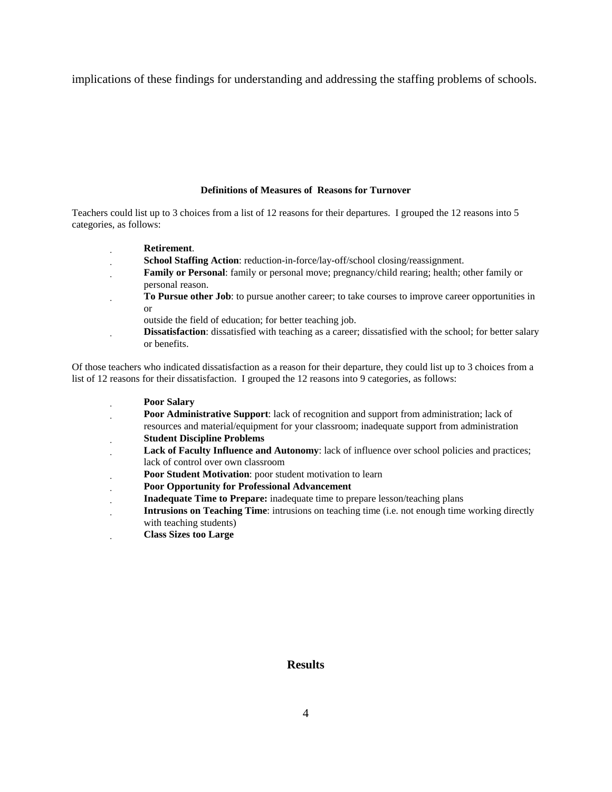implications of these findings for understanding and addressing the staffing problems of schools.

#### **Definitions of Measures of Reasons for Turnover**

Teachers could list up to 3 choices from a list of 12 reasons for their departures. I grouped the 12 reasons into 5 categories, as follows:

- **Retirement**.
- **School Staffing Action**: reduction-in-force/lay-off/school closing/reassignment.
- **Family or Personal**: family or personal move; pregnancy/child rearing; health; other family or personal reason.
- **To Pursue other Job**: to pursue another career; to take courses to improve career opportunities in or
	- outside the field of education; for better teaching job.
- **Dissatisfaction**: dissatisfied with teaching as a career; dissatisfied with the school; for better salary or benefits.

Of those teachers who indicated dissatisfaction as a reason for their departure, they could list up to 3 choices from a list of 12 reasons for their dissatisfaction. I grouped the 12 reasons into 9 categories, as follows:

- **Poor Salary**
- **Poor Administrative Support:** lack of recognition and support from administration; lack of
- resources and material/equipment for your classroom; inadequate support from administration **Student Discipline Problems**
- **Lack of Faculty Influence and Autonomy**: lack of influence over school policies and practices; lack of control over own classroom
- **Poor Student Motivation**: poor student motivation to learn
- **Poor Opportunity for Professional Advancement**
- **Inadequate Time to Prepare:** inadequate time to prepare lesson/teaching plans
- **Intrusions on Teaching Time**: intrusions on teaching time (i.e. not enough time working directly with teaching students)
- **Class Sizes too Large**

#### **Results**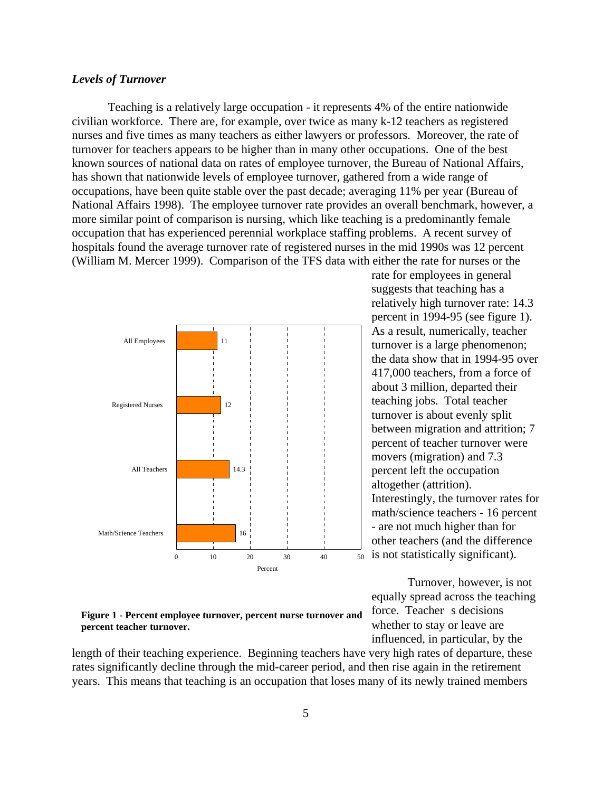#### *Levels of Turnover*

Teaching is a relatively large occupation - it represents 4% of the entire nationwide civilian workforce. There are, for example, over twice as many k-12 teachers as registered nurses and five times as many teachers as either lawyers or professors. Moreover, the rate of turnover for teachers appears to be higher than in many other occupations. One of the best known sources of national data on rates of employee turnover, the Bureau of National Affairs, has shown that nationwide levels of employee turnover, gathered from a wide range of occupations, have been quite stable over the past decade; averaging 11% per year (Bureau of National Affairs 1998). The employee turnover rate provides an overall benchmark, however, a more similar point of comparison is nursing, which like teaching is a predominantly female occupation that has experienced perennial workplace staffing problems. A recent survey of hospitals found the average turnover rate of registered nurses in the mid 1990s was 12 percent (William M. Mercer 1999). Comparison of the TFS data with either the rate for nurses or the



#### **Figure 1 - Percent employee turnover, percent nurse turnover and percent teacher turnover.**

length of their teaching experience. Beginning teachers have very high rates of departure, these rates significantly decline through the mid-career period, and then rise again in the retirement years. This means that teaching is an occupation that loses many of its newly trained members

is not statistically significant). rate for employees in general suggests that teaching has a relatively high turnover rate: 14.3 percent in 1994-95 (see figure 1). As a result, numerically, teacher turnover is a large phenomenon; the data show that in 1994-95 over 417,000 teachers, from a force of about 3 million, departed their teaching jobs. Total teacher turnover is about evenly split between migration and attrition; 7 percent of teacher turnover were movers (migration) and 7.3 percent left the occupation altogether (attrition). Interestingly, the turnover rates for math/science teachers - 16 percent - are not much higher than for other teachers (and the difference

Turnover, however, is not equally spread across the teaching force. Teacher s decisions whether to stay or leave are influenced, in particular, by the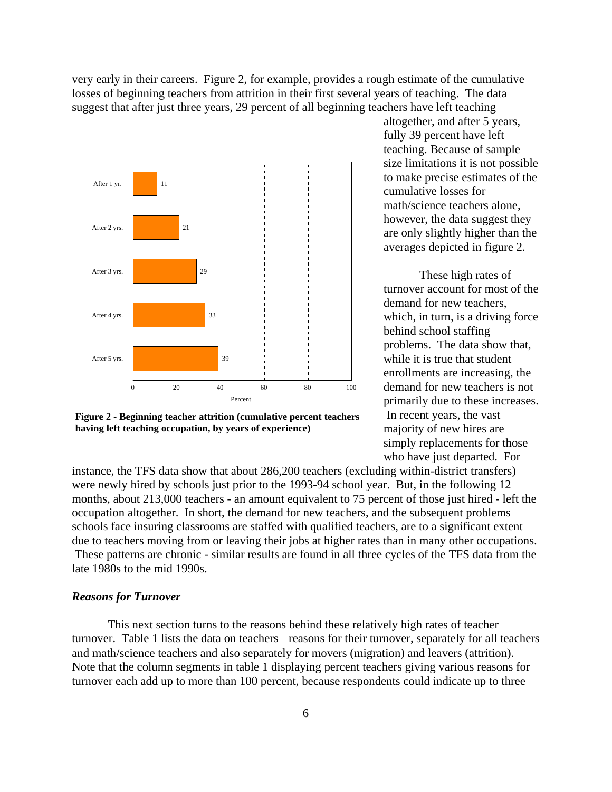very early in their careers. Figure 2, for example, provides a rough estimate of the cumulative losses of beginning teachers from attrition in their first several years of teaching. The data suggest that after just three years, 29 percent of all beginning teachers have left teaching



**Figure 2 - Beginning teacher attrition (cumulative percent teachers having left teaching occupation, by years of experience)**

altogether, and after 5 years, fully 39 percent have left teaching. Because of sample size limitations it is not possible to make precise estimates of the cumulative losses for math/science teachers alone, however, the data suggest they are only slightly higher than the averages depicted in figure 2.

de mand for new teachers is not These high rates of turnover account for most of the demand for new teachers, which, in turn, is a driving force behind school staffing problems. The data show that, while it is true that student enrollments are increasing, the primarily due to these increases. In recent years, the vast majority of new hires are simply replacements for those who have just departed. For

instance, the TFS data show that about 286,200 teachers (excluding within-district transfers) were newly hired by schools just prior to the 1993-94 school year. But, in the following 12 months, about 213,000 teachers - an amount equivalent to 75 percent of those just hired - left the occupation altogether. In short, the demand for new teachers, and the subsequent problems schools face insuring classrooms are staffed with qualified teachers, are to a significant extent due to teachers moving from or leaving their jobs at higher rates than in many other occupations. These patterns are chronic - similar results are found in all three cycles of the TFS data from the late 1980s to the mid 1990s.

#### *Reasons for Turnover*

This next section turns to the reasons behind these relatively high rates of teacher turnover. Table 1 lists the data on teachers reasons for their turnover, separately for all teachers and math/science teachers and also separately for movers (migration) and leavers (attrition). Note that the column segments in table 1 displaying percent teachers giving various reasons for turnover each add up to more than 100 percent, because respondents could indicate up to three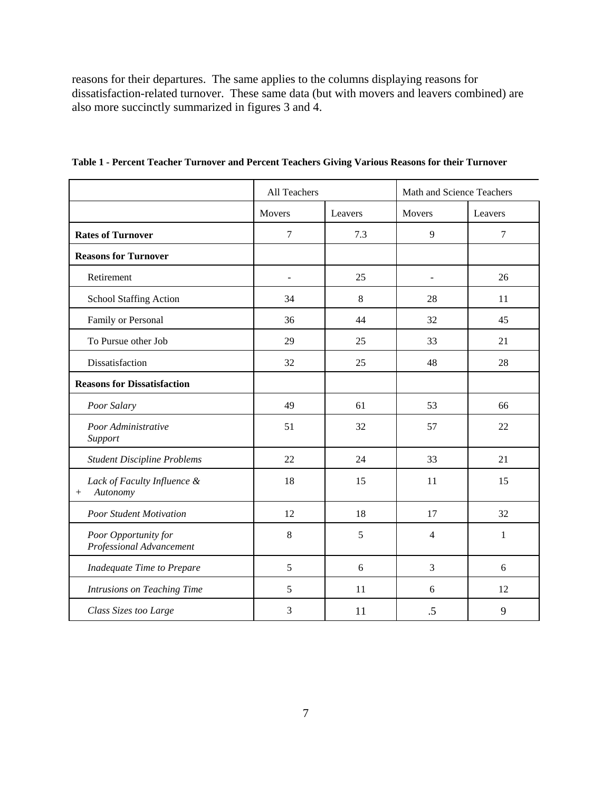reasons for their departures. The same applies to the columns displaying reasons for dissatisfaction-related turnover. These same data (but with movers and leavers combined) are also more succinctly summarized in figures 3 and 4.

|                                                   | All Teachers             |         | Math and Science Teachers |         |
|---------------------------------------------------|--------------------------|---------|---------------------------|---------|
|                                                   | Movers                   | Leavers | Movers                    | Leavers |
| <b>Rates of Turnover</b>                          | 7                        | 7.3     | 9                         | 7       |
| <b>Reasons for Turnover</b>                       |                          |         |                           |         |
| Retirement                                        | $\overline{\phantom{0}}$ | 25      | $\overline{\phantom{a}}$  | 26      |
| <b>School Staffing Action</b>                     | 34                       | $\,8\,$ | 28                        | 11      |
| Family or Personal                                | 36                       | 44      | 32                        | 45      |
| To Pursue other Job                               | 29                       | 25      | 33                        | 21      |
| Dissatisfaction                                   | 32                       | 25      | 48                        | 28      |
| <b>Reasons for Dissatisfaction</b>                |                          |         |                           |         |
| Poor Salary                                       | 49                       | 61      | 53                        | 66      |
| Poor Administrative<br>Support                    | 51                       | 32      | 57                        | 22      |
| <b>Student Discipline Problems</b>                | 22                       | 24      | 33                        | 21      |
| Lack of Faculty Influence &<br>Autonomy<br>$^{+}$ | 18                       | 15      | 11                        | 15      |
| <b>Poor Student Motivation</b>                    | 12                       | 18      | 17                        | 32      |
| Poor Opportunity for<br>Professional Advancement  | 8                        | 5       | 4                         | 1       |
| Inadequate Time to Prepare                        | 5                        | 6       | 3                         | 6       |
| Intrusions on Teaching Time                       | 5                        | 11      | 6                         | 12      |
| Class Sizes too Large                             | 3                        | 11      | .5                        | 9       |

**Table 1 - Percent Teacher Turnover and Percent Teachers Giving Various Reasons for their Turnover**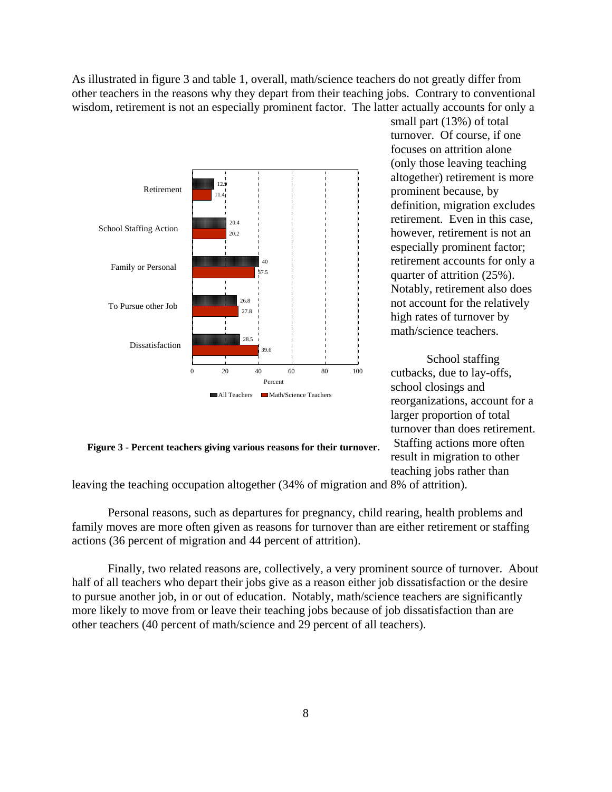As illustrated in figure 3 and table 1, overall, math/science teachers do not greatly differ from other teachers in the reasons why they depart from their teaching jobs. Contrary to conventional wisdom, retirement is not an especially prominent factor. The latter actually accounts for only a



small part (13%) of total turnover. Of course, if one focuses on attrition alone (only those leaving teaching altogether) retirement is more prominent because, by definition, migration excludes retirement. Even in this case, however, retirement is not an especially prominent factor; retirement accounts for only a quarter of attrition (25%). Notably, retirement also does not account for the relatively high rates of turnover by math/science teachers.

School staffing cutbacks, due to lay-offs, school closings and reorganizations, account for a larger proportion of total turnover than does retirement. Staffing actions more often result in migration to other teaching jobs rather than

**Figure 3 - Percent teachers giving various reasons for their turnover.**

leaving the teaching occupation altogether (34% of migration and 8% of attrition).

Personal reasons, such as departures for pregnancy, child rearing, health problems and family moves are more often given as reasons for turnover than are either retirement or staffing actions (36 percent of migration and 44 percent of attrition).

Finally, two related reasons are, collectively, a very prominent source of turnover. About half of all teachers who depart their jobs give as a reason either job dissatisfaction or the desire to pursue another job, in or out of education. Notably, math/science teachers are significantly more likely to move from or leave their teaching jobs because of job dissatisfaction than are other teachers (40 percent of math/science and 29 percent of all teachers).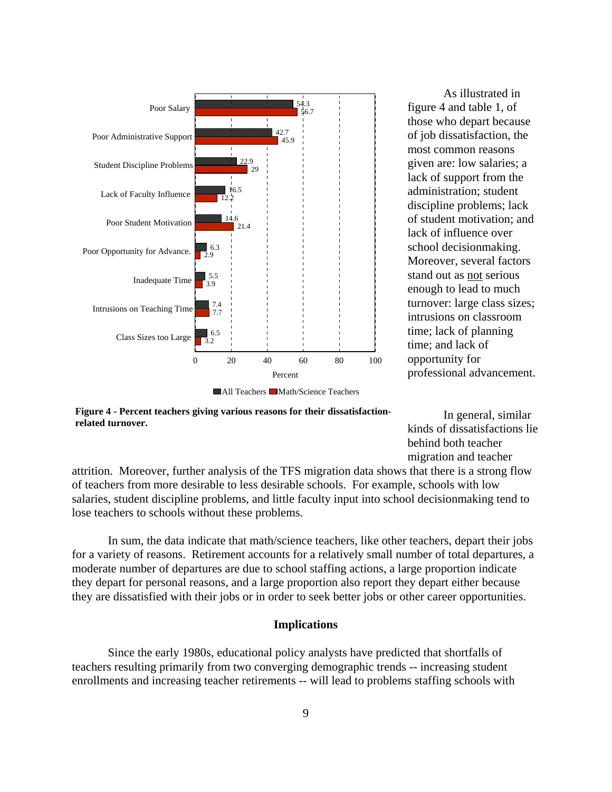

As illustrated in figure 4 and table 1, of those who depart because of job dissatisfaction, the most common reasons given are: low salaries; a lack of support from the administration; student discipline problems; lack of student motivation; and lack of influence over school decisionmaking. Moreover, several factors stand out as not serious enough to lead to much turnover: large class sizes; intrusions on classroom time; lack of planning time; and lack of opportunity for professional advancement.

**Figure 4 - Percent teachers giving various reasons for their dissatisfaction-**

**related turnover.**

In general, similar kinds of dissatisfactions lie behind both teacher migration and teacher

attrition. Moreover, further analysis of the TFS migration data shows that there is a strong flow of teachers from more desirable to less desirable schools. For example, schools with low salaries, student discipline problems, and little faculty input into school decisionmaking tend to lose teachers to schools without these problems.

In sum, the data indicate that math/science teachers, like other teachers, depart their jobs for a variety of reasons. Retirement accounts for a relatively small number of total departures, a moderate number of departures are due to school staffing actions, a large proportion indicate they depart for personal reasons, and a large proportion also report they depart either because they are dissatisfied with their jobs or in order to seek better jobs or other career opportunities.

#### **Implications**

Since the early 1980s, educational policy analysts have predicted that shortfalls of teachers resulting primarily from two converging demographic trends -- increasing student enrollments and increasing teacher retirements -- will lead to problems staffing schools with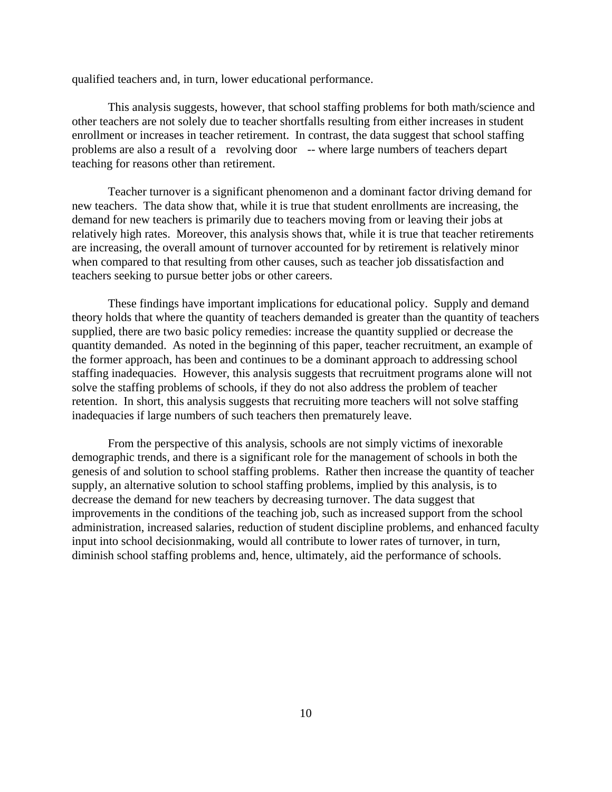qualified teachers and, in turn, lower educational performance.

This analysis suggests, however, that school staffing problems for both math/science and other teachers are not solely due to teacher shortfalls resulting from either increases in student enrollment or increases in teacher retirement. In contrast, the data suggest that school staffing problems are also a result of a revolving door -- where large numbers of teachers depart teaching for reasons other than retirement.

Teacher turnover is a significant phenomenon and a dominant factor driving demand for new teachers. The data show that, while it is true that student enrollments are increasing, the demand for new teachers is primarily due to teachers moving from or leaving their jobs at relatively high rates. Moreover, this analysis shows that, while it is true that teacher retirements are increasing, the overall amount of turnover accounted for by retirement is relatively minor when compared to that resulting from other causes, such as teacher job dissatisfaction and teachers seeking to pursue better jobs or other careers.

These findings have important implications for educational policy. Supply and demand theory holds that where the quantity of teachers demanded is greater than the quantity of teachers supplied, there are two basic policy remedies: increase the quantity supplied or decrease the quantity demanded. As noted in the beginning of this paper, teacher recruitment, an example of the former approach, has been and continues to be a dominant approach to addressing school staffing inadequacies. However, this analysis suggests that recruitment programs alone will not solve the staffing problems of schools, if they do not also address the problem of teacher retention. In short, this analysis suggests that recruiting more teachers will not solve staffing inadequacies if large numbers of such teachers then prematurely leave.

From the perspective of this analysis, schools are not simply victims of inexorable demographic trends, and there is a significant role for the management of schools in both the genesis of and solution to school staffing problems. Rather then increase the quantity of teacher supply, an alternative solution to school staffing problems, implied by this analysis, is to decrease the demand for new teachers by decreasing turnover. The data suggest that improvements in the conditions of the teaching job, such as increased support from the school administration, increased salaries, reduction of student discipline problems, and enhanced faculty input into school decisionmaking, would all contribute to lower rates of turnover, in turn, diminish school staffing problems and, hence, ultimately, aid the performance of schools.